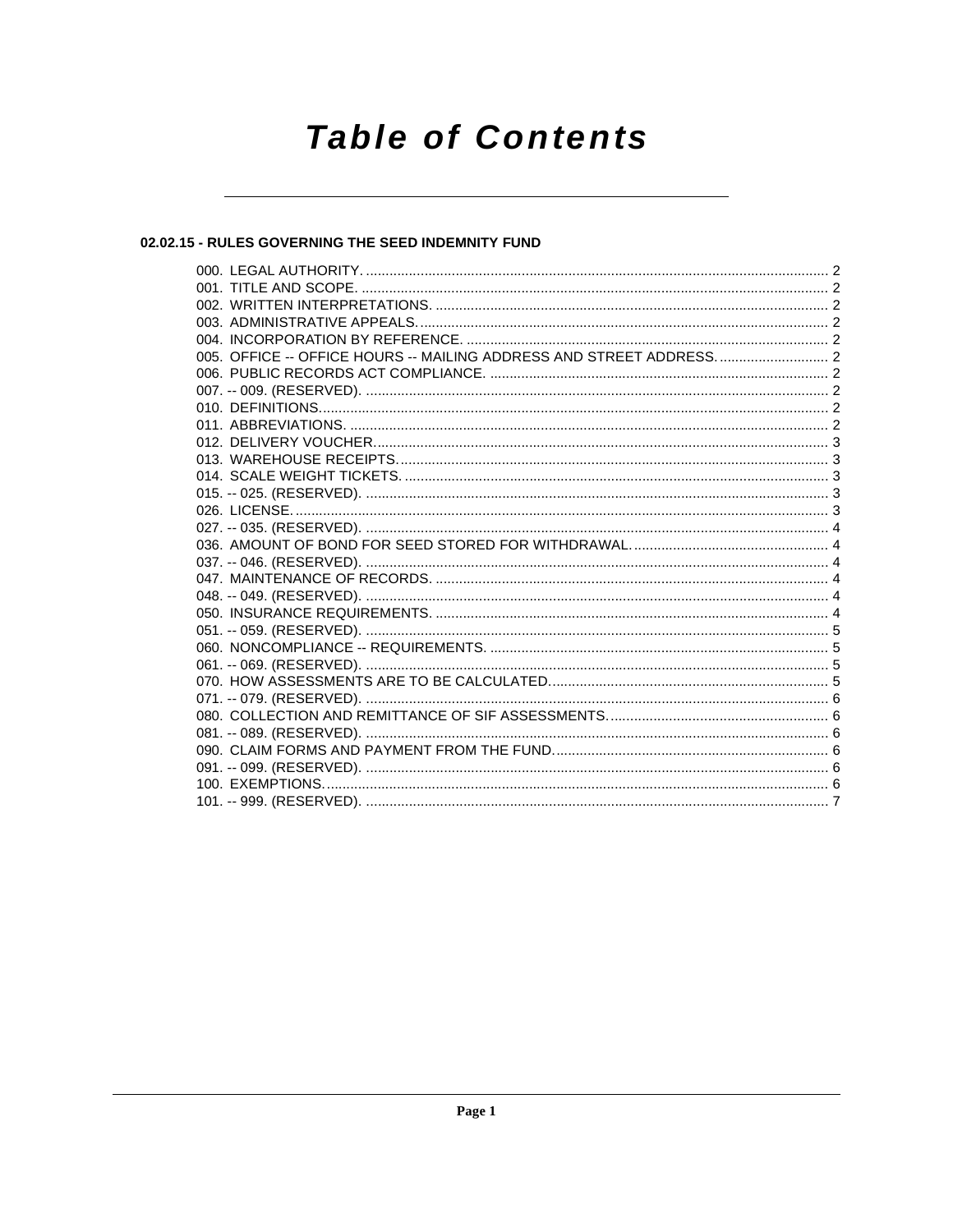# **Table of Contents**

## 02.02.15 - RULES GOVERNING THE SEED INDEMNITY FUND

| 005. OFFICE -- OFFICE HOURS -- MAILING ADDRESS AND STREET ADDRESS 2 |  |
|---------------------------------------------------------------------|--|
|                                                                     |  |
|                                                                     |  |
|                                                                     |  |
|                                                                     |  |
|                                                                     |  |
|                                                                     |  |
|                                                                     |  |
|                                                                     |  |
|                                                                     |  |
|                                                                     |  |
|                                                                     |  |
|                                                                     |  |
|                                                                     |  |
|                                                                     |  |
|                                                                     |  |
|                                                                     |  |
|                                                                     |  |
|                                                                     |  |
|                                                                     |  |
|                                                                     |  |
|                                                                     |  |
|                                                                     |  |
|                                                                     |  |
|                                                                     |  |
|                                                                     |  |
|                                                                     |  |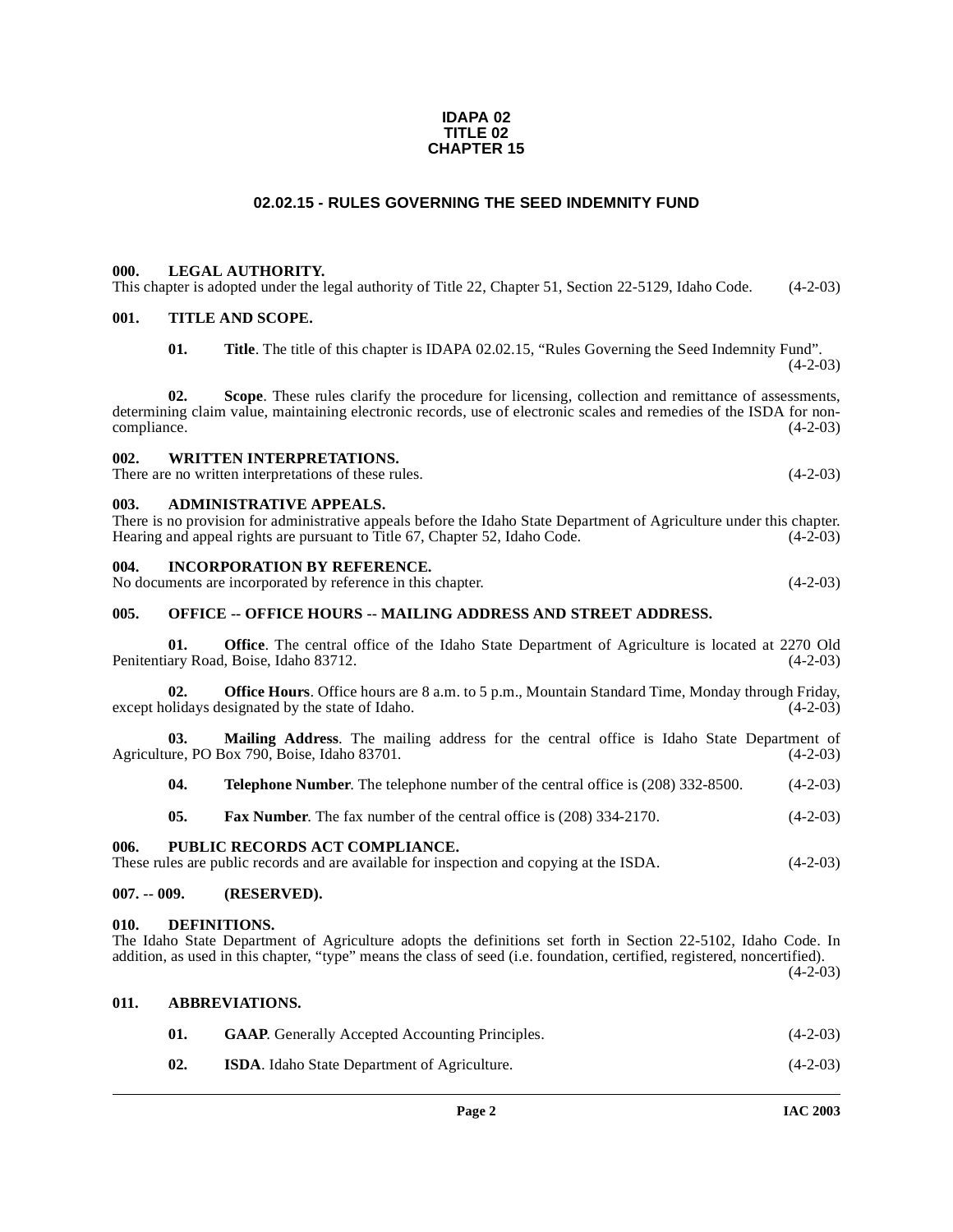#### **IDAPA 02 TITLE 02 CHAPTER 15**

## **02.02.15 - RULES GOVERNING THE SEED INDEMNITY FUND**

#### <span id="page-1-1"></span><span id="page-1-0"></span>**000. LEGAL AUTHORITY.**

This chapter is adopted under the legal authority of Title 22, Chapter 51, Section 22-5129, Idaho Code. (4-2-03)

### <span id="page-1-2"></span>**001. TITLE AND SCOPE.**

**01. Title**. The title of this chapter is IDAPA 02.02.15, "Rules Governing the Seed Indemnity Fund".  $(4-2-03)$ 

**02. Scope**. These rules clarify the procedure for licensing, collection and remittance of assessments, determining claim value, maintaining electronic records, use of electronic scales and remedies of the ISDA for non-<br>(4-2-03) compliance.

## <span id="page-1-3"></span>**002. WRITTEN INTERPRETATIONS.**

There are no written interpretations of these rules. (4-2-03)

#### <span id="page-1-4"></span>**003. ADMINISTRATIVE APPEALS.**

There is no provision for administrative appeals before the Idaho State Department of Agriculture under this chapter. Hearing and appeal rights are pursuant to Title 67, Chapter 52, Idaho Code. (4-2-03)

#### <span id="page-1-5"></span>**004. INCORPORATION BY REFERENCE.**

No documents are incorporated by reference in this chapter. (4-2-03)

#### <span id="page-1-6"></span>005. OFFICE -- OFFICE HOURS -- MAILING ADDRESS AND STREET ADDRESS.

**01. Office**. The central office of the Idaho State Department of Agriculture is located at 2270 Old ary Road, Boise, Idaho 83712. (4-2-03) Penitentiary Road, Boise, Idaho 83712.

**02. Office Hours**. Office hours are 8 a.m. to 5 p.m., Mountain Standard Time, Monday through Friday, olidays designated by the state of Idaho. (4-2-03) except holidays designated by the state of Idaho.

**03. Mailing Address**. The mailing address for the central office is Idaho State Department of Agriculture, PO Box 790, Boise, Idaho 83701. (4-2-03)

**04. Telephone Number**. The telephone number of the central office is (208) 332-8500. (4-2-03)

**05. Fax Number**. The fax number of the central office is (208) 334-2170. (4-2-03)

#### <span id="page-1-7"></span>**006. PUBLIC RECORDS ACT COMPLIANCE.**

These rules are public records and are available for inspection and copying at the ISDA.  $(4-2-03)$ 

#### <span id="page-1-8"></span>**007. -- 009. (RESERVED).**

#### <span id="page-1-11"></span><span id="page-1-9"></span>**010. DEFINITIONS.**

<span id="page-1-10"></span>**011. ABBREVIATIONS.**

The Idaho State Department of Agriculture adopts the definitions set forth in Section 22-5102, Idaho Code. In addition, as used in this chapter, "type" means the class of seed (i.e. foundation, certified, registered, noncertified).  $(4-2-03)$ 

| 01. | <b>GAAP.</b> Generally Accepted Accounting Principles. | $(4-2-03)$ |
|-----|--------------------------------------------------------|------------|
| 02. | <b>ISDA.</b> Idaho State Department of Agriculture.    | $(4-2-03)$ |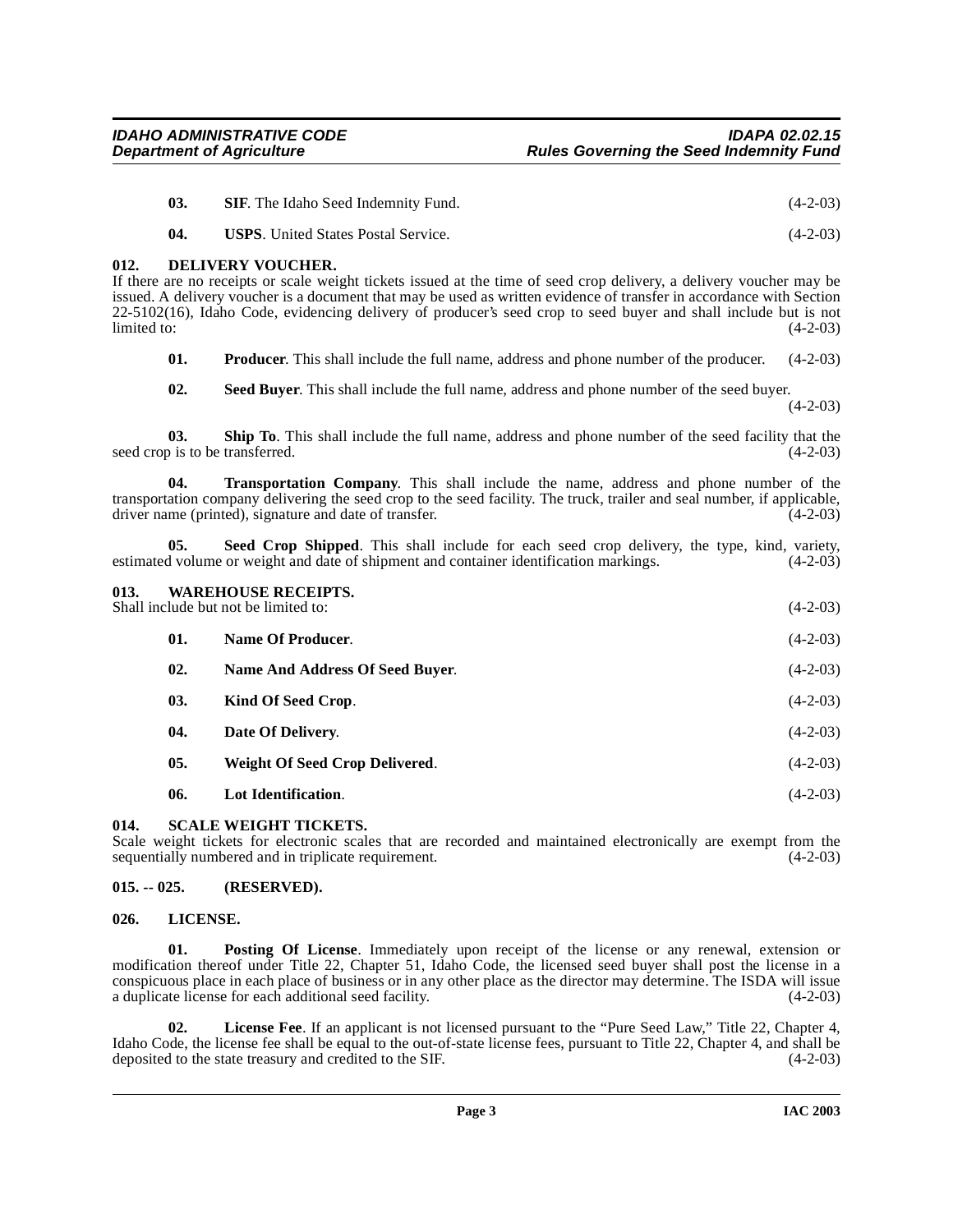- **03. SIF**. The Idaho Seed Indemnity Fund. (4-2-03)
- <span id="page-2-5"></span>**04. USPS**. United States Postal Service. (4-2-03)

## <span id="page-2-0"></span>**012. DELIVERY VOUCHER.**

If there are no receipts or scale weight tickets issued at the time of seed crop delivery, a delivery voucher may be issued. A delivery voucher is a document that may be used as written evidence of transfer in accordance with Section 22-5102(16), Idaho Code, evidencing delivery of producer's seed crop to seed buyer and shall include but is not  $\lim \begin{bmatrix} 4-2-03 \end{bmatrix}$ 

<span id="page-2-8"></span>**01. Producer**. This shall include the full name, address and phone number of the producer. (4-2-03)

<span id="page-2-12"></span><span id="page-2-10"></span>**02. Seed Buyer**. This shall include the full name, address and phone number of the seed buyer.

 $(4-2-03)$ 

**03. Ship To**. This shall include the full name, address and phone number of the seed facility that the b is to be transferred. (4-2-03) seed crop is to be transferred.

**Transportation Company**. This shall include the name, address and phone number of the transportation company delivering the seed crop to the seed facility. The truck, trailer and seal number, if applicable, driver name (printed), signature and date of transfer. (4-2-03) driver name (printed), signature and date of transfer.

<span id="page-2-11"></span>**05. Seed Crop Shipped**. This shall include for each seed crop delivery, the type, kind, variety, estimated volume or weight and date of shipment and container identification markings. (4-2-03)

## <span id="page-2-13"></span><span id="page-2-1"></span>**013. WAREHOUSE RECEIPTS.** Shall include but not be limited to: (4-2-03) **01. Name Of Producer**. (4-2-03)

- **02. Name And Address Of Seed Buyer**. (4-2-03) **03. Kind Of Seed Crop**. (4-2-03) **04. Date Of Delivery**. (4-2-03) **05. Weight Of Seed Crop Delivered**. (4-2-03)
- <span id="page-2-9"></span>**06. Lot Identification**. (4-2-03)

## <span id="page-2-2"></span>**014. SCALE WEIGHT TICKETS.**

Scale weight tickets for electronic scales that are recorded and maintained electronically are exempt from the sequentially numbered and in triplicate requirement. (4-2-03)

## <span id="page-2-3"></span>**015. -- 025. (RESERVED).**

## <span id="page-2-7"></span><span id="page-2-4"></span>**026. LICENSE.**

**01. Posting Of License**. Immediately upon receipt of the license or any renewal, extension or modification thereof under Title 22, Chapter 51, Idaho Code, the licensed seed buyer shall post the license in a conspicuous place in each place of business or in any other place as the director may determine. The ISDA will issue a duplicate license for each additional seed facility. (4-2-03)

<span id="page-2-6"></span>**02. License Fee**. If an applicant is not licensed pursuant to the "Pure Seed Law," Title 22, Chapter 4, Idaho Code, the license fee shall be equal to the out-of-state license fees, pursuant to Title 22, Chapter 4, and shall be deposited to the state treasury and credited to the SIF.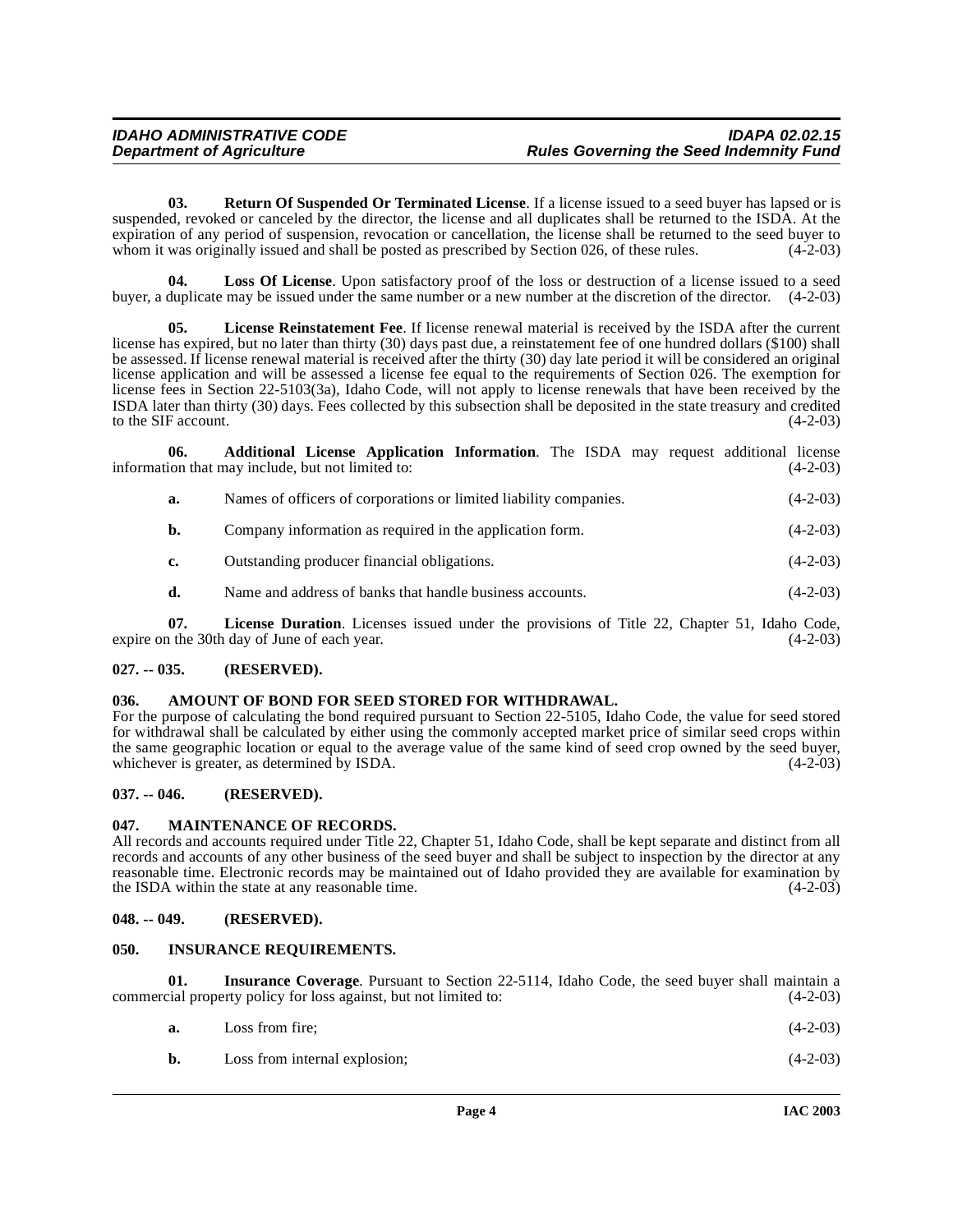<span id="page-3-14"></span>**03. Return Of Suspended Or Terminated License**. If a license issued to a seed buyer has lapsed or is suspended, revoked or canceled by the director, the license and all duplicates shall be returned to the ISDA. At the expiration of any period of suspension, revocation or cancellation, the license shall be returned to the seed buyer to whom it was originally issued and shall be posted as prescribed by Section 026, of these rules. (4-2-03)

<span id="page-3-12"></span>**04. Loss Of License**. Upon satisfactory proof of the loss or destruction of a license issued to a seed buyer, a duplicate may be issued under the same number or a new number at the discretion of the director. (4-2-03)

<span id="page-3-11"></span>**License Reinstatement Fee**. If license renewal material is received by the ISDA after the current license has expired, but no later than thirty (30) days past due, a reinstatement fee of one hundred dollars (\$100) shall be assessed. If license renewal material is received after the thirty (30) day late period it will be considered an original license application and will be assessed a license fee equal to the requirements of Section 026. The exemption for license fees in Section 22-5103(3a), Idaho Code, will not apply to license renewals that have been received by the ISDA later than thirty (30) days. Fees collected by this subsection shall be deposited in the state treasury and credited to the SIF account.  $(4-2-03)$ 

**06. Additional License Application Information**. The ISDA may request additional license information that may include, but not limited to: (4-2-03)

<span id="page-3-6"></span>

| Names of officers of corporations or limited liability companies. | $(4-2-03)$ |
|-------------------------------------------------------------------|------------|
| Company information as required in the application form.          | $(4-2-03)$ |

**c.** Outstanding producer financial obligations. (4-2-03)

<span id="page-3-10"></span>**d.** Name and address of banks that handle business accounts. (4-2-03)

**07.** License Duration. Licenses issued under the provisions of Title 22, Chapter 51, Idaho Code, 1 the 30th day of June of each year. (4-2-03) expire on the 30th day of June of each year.

## <span id="page-3-0"></span>**027. -- 035. (RESERVED).**

### <span id="page-3-7"></span><span id="page-3-1"></span>**036. AMOUNT OF BOND FOR SEED STORED FOR WITHDRAWAL.**

For the purpose of calculating the bond required pursuant to Section 22-5105, Idaho Code, the value for seed stored for withdrawal shall be calculated by either using the commonly accepted market price of similar seed crops within the same geographic location or equal to the average value of the same kind of seed crop owned by the seed buyer, whichever is greater, as determined by ISDA. (4-2-03)

## <span id="page-3-2"></span>**037. -- 046. (RESERVED).**

## <span id="page-3-13"></span><span id="page-3-3"></span>**047. MAINTENANCE OF RECORDS.**

All records and accounts required under Title 22, Chapter 51, Idaho Code, shall be kept separate and distinct from all records and accounts of any other business of the seed buyer and shall be subject to inspection by the director at any reasonable time. Electronic records may be maintained out of Idaho provided they are available for examination by the ISDA within the state at any reasonable time. the ISDA within the state at any reasonable time.

#### <span id="page-3-4"></span>**048. -- 049. (RESERVED).**

## <span id="page-3-9"></span><span id="page-3-5"></span>**050. INSURANCE REQUIREMENTS.**

**Insurance Coverage.** Pursuant to Section 22-5114, Idaho Code, the seed buyer shall maintain a commercial property policy for loss against, but not limited to: (4-2-03)

<span id="page-3-8"></span>

| a. | Loss from fire: |  | $(4-2-03)$ |
|----|-----------------|--|------------|
|    |                 |  |            |

| b. | Loss from internal explosion; | $(4-2-03)$ |
|----|-------------------------------|------------|
|----|-------------------------------|------------|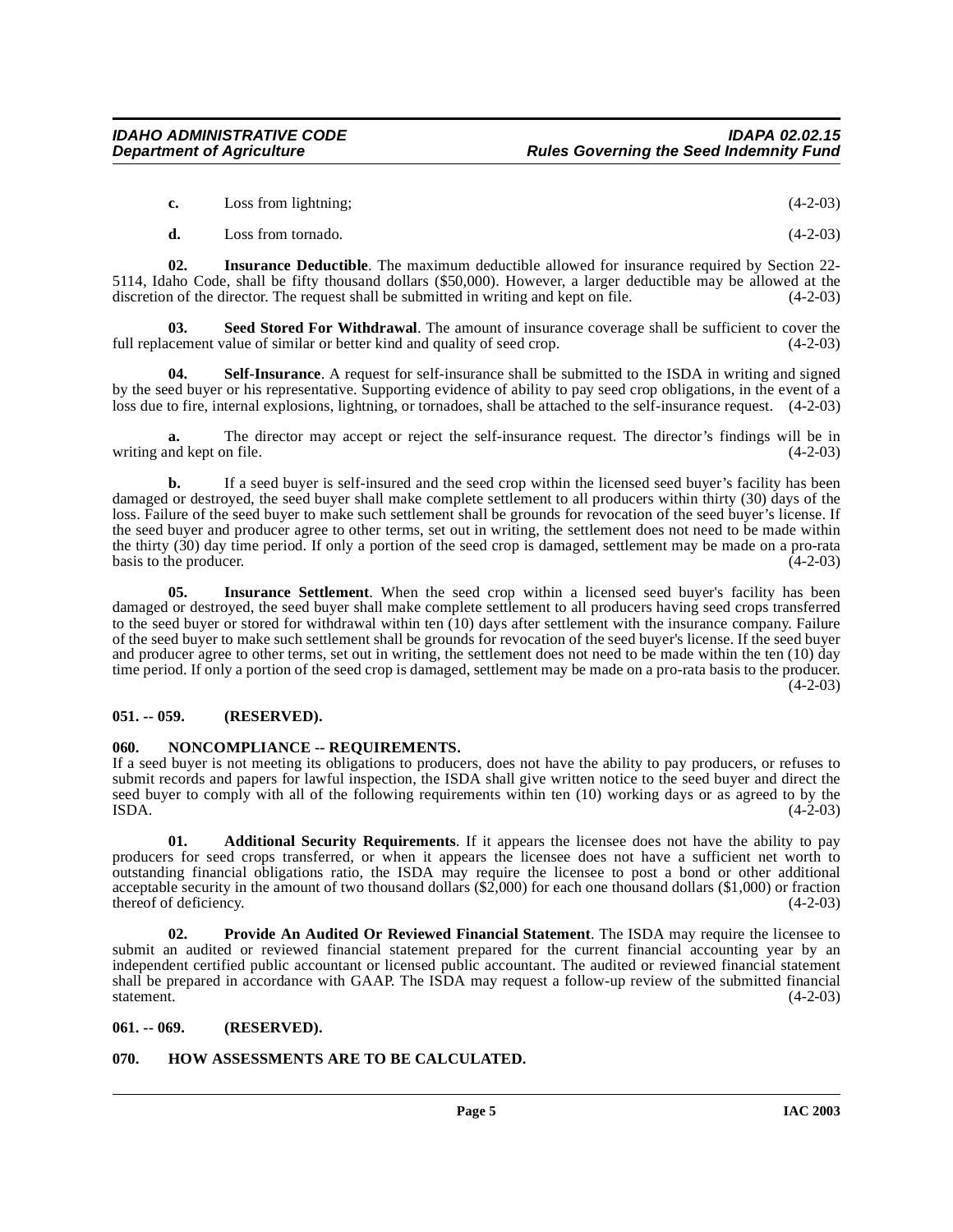|  | Loss from lightning; | $(4-2-03)$ |
|--|----------------------|------------|
|--|----------------------|------------|

<span id="page-4-10"></span><span id="page-4-6"></span>**d.** Loss from tornado. (4-2-03)

**02. Insurance Deductible**. The maximum deductible allowed for insurance required by Section 22- 5114, Idaho Code, shall be fifty thousand dollars (\$50,000). However, a larger deductible may be allowed at the discretion of the director. The request shall be submitted in writing and kept on file. (4-2-03) discretion of the director. The request shall be submitted in writing and kept on file.

**Seed Stored For Withdrawal**. The amount of insurance coverage shall be sufficient to cover the full replacement value of similar or better kind and quality of seed crop. (4-2-03)

<span id="page-4-11"></span>**04. Self-Insurance**. A request for self-insurance shall be submitted to the ISDA in writing and signed by the seed buyer or his representative. Supporting evidence of ability to pay seed crop obligations, in the event of a loss due to fire, internal explosions, lightning, or tornadoes, shall be attached to the self-insurance request. (4-2-03)

**a.** The director may accept or reject the self-insurance request. The director's findings will be in md kept on file. (4-2-03) writing and kept on file.

**b.** If a seed buyer is self-insured and the seed crop within the licensed seed buyer's facility has been damaged or destroyed, the seed buyer shall make complete settlement to all producers within thirty (30) days of the loss. Failure of the seed buyer to make such settlement shall be grounds for revocation of the seed buyer's license. If the seed buyer and producer agree to other terms, set out in writing, the settlement does not need to be made within the thirty (30) day time period. If only a portion of the seed crop is damaged, settlement may be made on a pro-rata basis to the producer.  $(4-2-03)$ 

<span id="page-4-7"></span>**05. Insurance Settlement**. When the seed crop within a licensed seed buyer's facility has been damaged or destroyed, the seed buyer shall make complete settlement to all producers having seed crops transferred to the seed buyer or stored for withdrawal within ten (10) days after settlement with the insurance company. Failure of the seed buyer to make such settlement shall be grounds for revocation of the seed buyer's license. If the seed buyer and producer agree to other terms, set out in writing, the settlement does not need to be made within the ten (10) day time period. If only a portion of the seed crop is damaged, settlement may be made on a pro-rata basis to the producer.  $(4-2-03)$ 

## <span id="page-4-0"></span>**051. -- 059. (RESERVED).**

## <span id="page-4-8"></span><span id="page-4-1"></span>**060. NONCOMPLIANCE -- REQUIREMENTS.**

If a seed buyer is not meeting its obligations to producers, does not have the ability to pay producers, or refuses to submit records and papers for lawful inspection, the ISDA shall give written notice to the seed buyer and direct the seed buyer to comply with all of the following requirements within ten (10) working days or as agreed to by the ISDA.  $(4-2-03)$  $\text{ISDA.}$  (4-2-03)

<span id="page-4-4"></span>**01. Additional Security Requirements**. If it appears the licensee does not have the ability to pay producers for seed crops transferred, or when it appears the licensee does not have a sufficient net worth to outstanding financial obligations ratio, the ISDA may require the licensee to post a bond or other additional acceptable security in the amount of two thousand dollars (\$2,000) for each one thousand dollars (\$1,000) or fraction thereof of deficiency. (4-2-03)

<span id="page-4-9"></span>**02. Provide An Audited Or Reviewed Financial Statement**. The ISDA may require the licensee to submit an audited or reviewed financial statement prepared for the current financial accounting year by an independent certified public accountant or licensed public accountant. The audited or reviewed financial statement shall be prepared in accordance with GAAP. The ISDA may request a follow-up review of the submitted financial statement.  $(4-2-03)$ 

## <span id="page-4-2"></span>**061. -- 069. (RESERVED).**

## <span id="page-4-5"></span><span id="page-4-3"></span>**070. HOW ASSESSMENTS ARE TO BE CALCULATED.**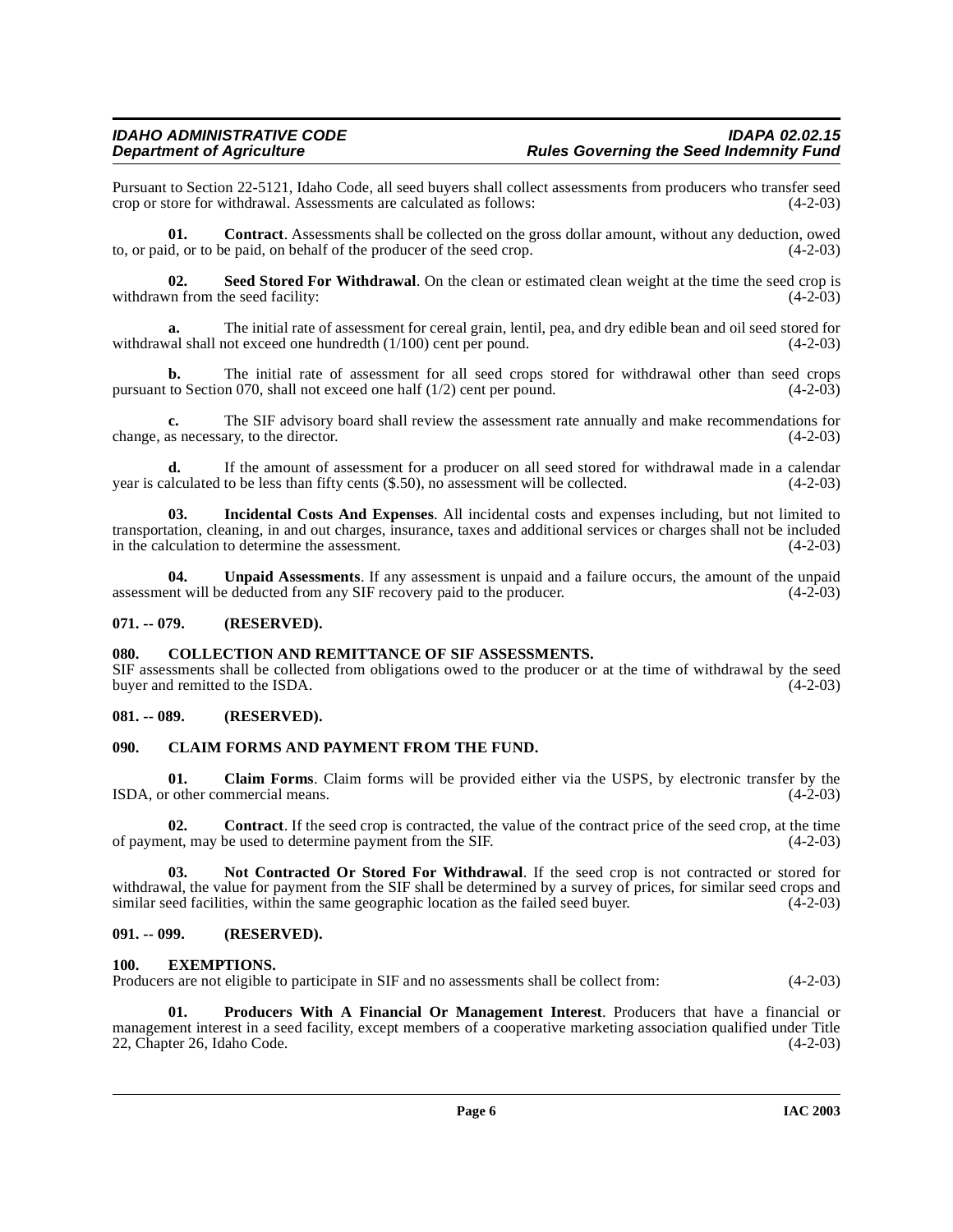Pursuant to Section 22-5121, Idaho Code, all seed buyers shall collect assessments from producers who transfer seed crop or store for withdrawal. Assessments are calculated as follows:

**01. Contract**. Assessments shall be collected on the gross dollar amount, without any deduction, owed to, or paid, or to be paid, on behalf of the producer of the seed crop. (4-2-03)

<span id="page-5-11"></span>**02.** Seed Stored For Withdrawal. On the clean or estimated clean weight at the time the seed crop is vn from the seed facility: (4-2-03) withdrawn from the seed facility:

**a.** The initial rate of assessment for cereal grain, lentil, pea, and dry edible bean and oil seed stored for withdrawal shall not exceed one hundredth (1/100) cent per pound. (4-2-03)

**b.** The initial rate of assessment for all seed crops stored for withdrawal other than seed crops pursuant to Section 070, shall not exceed one half  $(1/2)$  cent per pound.  $(4-2-03)$ 

**c.** The SIF advisory board shall review the assessment rate annually and make recommendations for as necessary, to the director. (4-2-03) change, as necessary, to the director.

**d.** If the amount of assessment for a producer on all seed stored for withdrawal made in a calendar year is calculated to be less than fifty cents (\$.50), no assessment will be collected. (4-2-03)

<span id="page-5-9"></span>**03. Incidental Costs And Expenses**. All incidental costs and expenses including, but not limited to transportation, cleaning, in and out charges, insurance, taxes and additional services or charges shall not be included in the calculation to determine the assessment. (4-2-03)

**04.** Unpaid Assessments. If any assessment is unpaid and a failure occurs, the amount of the unpaid ent will be deducted from any SIF recovery paid to the producer. (4-2-03) assessment will be deducted from any SIF recovery paid to the producer.

## <span id="page-5-0"></span>**071. -- 079. (RESERVED).**

#### <span id="page-5-7"></span><span id="page-5-1"></span>**080. COLLECTION AND REMITTANCE OF SIF ASSESSMENTS.**

SIF assessments shall be collected from obligations owed to the producer or at the time of withdrawal by the seed buyer and remitted to the ISDA. (4-2-03)

## <span id="page-5-2"></span>**081. -- 089. (RESERVED).**

#### <span id="page-5-6"></span><span id="page-5-3"></span>**090. CLAIM FORMS AND PAYMENT FROM THE FUND.**

**01.** Claim Forms. Claim forms will be provided either via the USPS, by electronic transfer by the commercial means. (4-2-03) ISDA, or other commercial means.

**02. Contract**. If the seed crop is contracted, the value of the contract price of the seed crop, at the time of payment, may be used to determine payment from the SIF. (4-2-03)

**03. Not Contracted Or Stored For Withdrawal**. If the seed crop is not contracted or stored for withdrawal, the value for payment from the SIF shall be determined by a survey of prices, for similar seed crops and similar seed facilities, within the same geographic location as the failed seed buyer. (4-2-03) similar seed facilities, within the same geographic location as the failed seed buyer.

### <span id="page-5-4"></span>**091. -- 099. (RESERVED).**

#### <span id="page-5-8"></span><span id="page-5-5"></span>**100. EXEMPTIONS.**

Producers are not eligible to participate in SIF and no assessments shall be collect from: (4-2-03)

<span id="page-5-10"></span>**01. Producers With A Financial Or Management Interest**. Producers that have a financial or management interest in a seed facility, except members of a cooperative marketing association qualified under Title 22, Chapter 26, Idaho Code. (4-2-03) 22, Chapter 26, Idaho Code.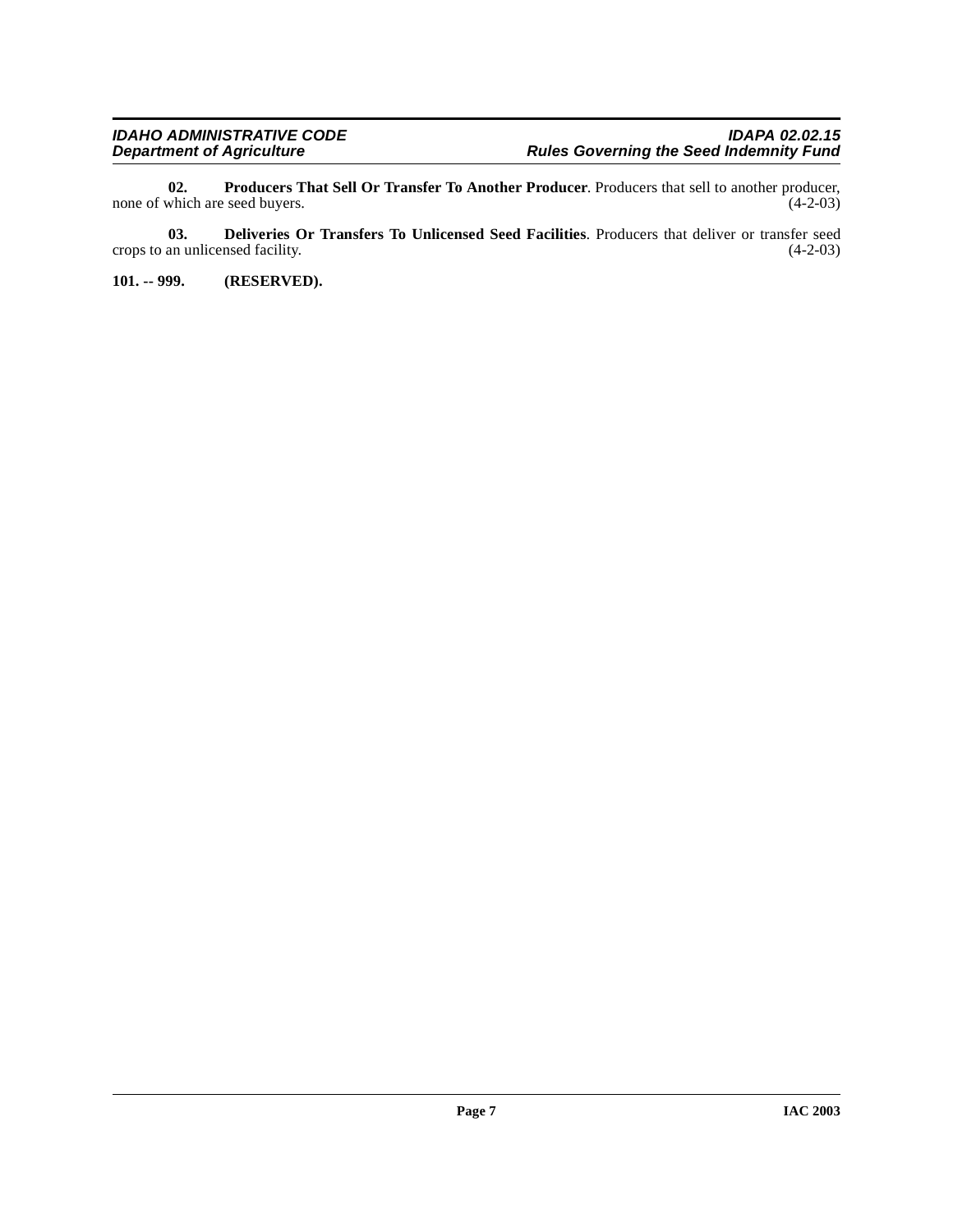<span id="page-6-2"></span>**02. Producers That Sell Or Transfer To Another Producer**. Producers that sell to another producer, which are seed buyers. (4-2-03) none of which are seed buyers.

<span id="page-6-1"></span>**03. Deliveries Or Transfers To Unlicensed Seed Facilities**. Producers that deliver or transfer seed an unlicensed facility. (4-2-03) crops to an unlicensed facility.

<span id="page-6-0"></span>**101. -- 999. (RESERVED).**